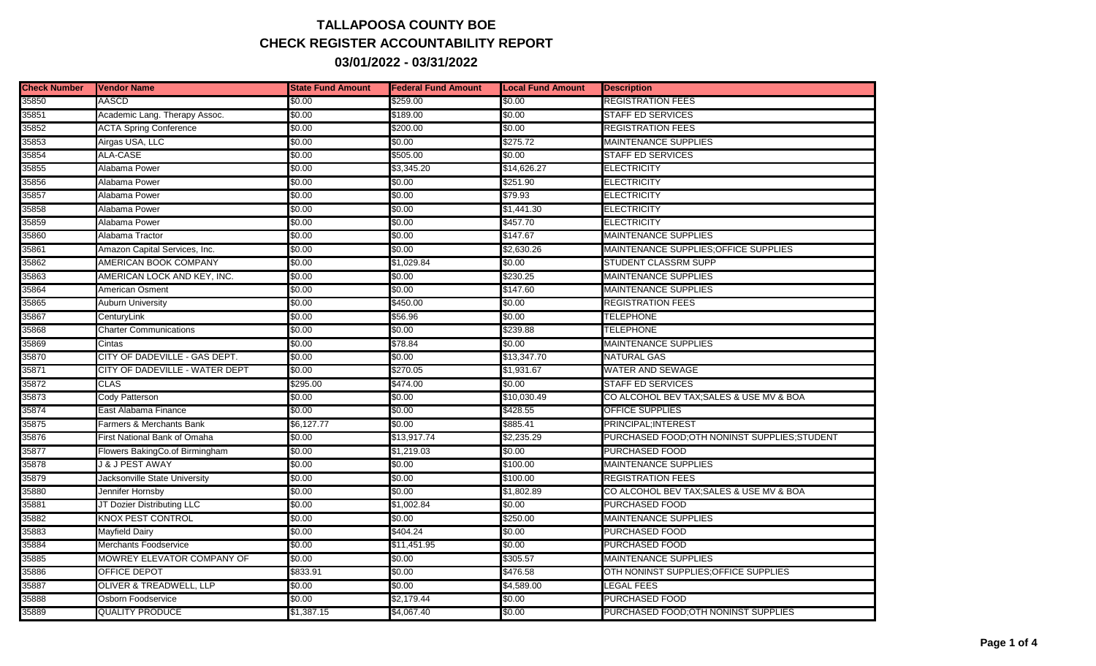## **TALLAPOOSA COUNTY BOE CHECK REGISTER ACCOUNTABILITY REPORT 03/01/2022 - 03/31/2022**

| <b>Check Number</b> | <b>Vendor Name</b>             | <b>State Fund Amount</b> | <b>Federal Fund Amount</b> | <b>Local Fund Amount</b> | <b>Description</b>                            |
|---------------------|--------------------------------|--------------------------|----------------------------|--------------------------|-----------------------------------------------|
| 35850               | <b>AASCD</b>                   | \$0.00                   | \$259.00                   | \$0.00                   | <b>REGISTRATION FEES</b>                      |
| 35851               | Academic Lang. Therapy Assoc.  | \$0.00                   | \$189.00                   | \$0.00                   | STAFF ED SERVICES                             |
| 35852               | <b>ACTA Spring Conference</b>  | \$0.00                   | \$200.00                   | \$0.00                   | <b>REGISTRATION FEES</b>                      |
| 35853               | Airgas USA, LLC                | \$0.00                   | \$0.00                     | \$275.72                 | <b>MAINTENANCE SUPPLIES</b>                   |
| 35854               | <b>ALA-CASE</b>                | \$0.00                   | \$505.00                   | \$0.00                   | <b>STAFF ED SERVICES</b>                      |
| 35855               | Alabama Power                  | \$0.00                   | \$3,345.20                 | \$14,626.27              | <b>ELECTRICITY</b>                            |
| 35856               | Alabama Power                  | \$0.00                   | \$0.00                     | \$251.90                 | <b>ELECTRICITY</b>                            |
| 35857               | Alabama Power                  | \$0.00                   | \$0.00                     | \$79.93                  | <b>ELECTRICITY</b>                            |
| 35858               | Alabama Power                  | \$0.00                   | \$0.00                     | \$1,441.30               | <b>ELECTRICITY</b>                            |
| 35859               | Alabama Power                  | \$0.00                   | \$0.00                     | \$457.70                 | <b>ELECTRICITY</b>                            |
| 35860               | Alabama Tractor                | \$0.00                   | \$0.00                     | \$147.67                 | <b>MAINTENANCE SUPPLIES</b>                   |
| 35861               | Amazon Capital Services, Inc.  | \$0.00                   | \$0.00                     | \$2,630.26               | MAINTENANCE SUPPLIES: OFFICE SUPPLIES         |
| 35862               | AMERICAN BOOK COMPANY          | \$0.00                   | \$1,029.84                 | \$0.00                   | <b>STUDENT CLASSRM SUPP</b>                   |
| 35863               | AMERICAN LOCK AND KEY, INC.    | \$0.00                   | \$0.00                     | \$230.25                 | <b>MAINTENANCE SUPPLIES</b>                   |
| 35864               | <b>American Osment</b>         | \$0.00                   | \$0.00                     | \$147.60                 | <b>MAINTENANCE SUPPLIES</b>                   |
| 35865               | <b>Auburn University</b>       | \$0.00                   | \$450.00                   | \$0.00                   | <b>REGISTRATION FEES</b>                      |
| 35867               | CenturyLink                    | \$0.00                   | \$56.96                    | \$0.00                   | TELEPHONE                                     |
| 35868               | <b>Charter Communications</b>  | \$0.00                   | \$0.00                     | \$239.88                 | TELEPHONE                                     |
| 35869               | Cintas                         | \$0.00                   | \$78.84                    | \$0.00                   | <b>MAINTENANCE SUPPLIES</b>                   |
| 35870               | CITY OF DADEVILLE - GAS DEPT.  | \$0.00                   | \$0.00                     | \$13,347.70              | <b>NATURAL GAS</b>                            |
| 35871               | CITY OF DADEVILLE - WATER DEPT | \$0.00                   | \$270.05                   | \$1,931.67               | WATER AND SEWAGE                              |
| 35872               | <b>CLAS</b>                    | \$295.00                 | \$474.00                   | \$0.00                   | <b>STAFF ED SERVICES</b>                      |
| 35873               | Cody Patterson                 | \$0.00                   | \$0.00                     | \$10,030.49              | CO ALCOHOL BEV TAX; SALES & USE MV & BOA      |
| 35874               | East Alabama Finance           | \$0.00                   | \$0.00                     | \$428.55                 | <b>OFFICE SUPPLIES</b>                        |
| 35875               | Farmers & Merchants Bank       | \$6,127.77               | \$0.00                     | \$885.41                 | PRINCIPAL; INTEREST                           |
| 35876               | First National Bank of Omaha   | \$0.00                   | \$13,917.74                | \$2,235.29               | PURCHASED FOOD; OTH NONINST SUPPLIES; STUDENT |
| 35877               | Flowers BakingCo.of Birmingham | \$0.00                   | \$1,219.03                 | \$0.00                   | <b>PURCHASED FOOD</b>                         |
| 35878               | J & J PEST AWAY                | \$0.00                   | \$0.00                     | \$100.00                 | <b>MAINTENANCE SUPPLIES</b>                   |
| 35879               | Jacksonville State University  | \$0.00                   | \$0.00                     | \$100.00                 | <b>REGISTRATION FEES</b>                      |
| 35880               | Jennifer Hornsby               | \$0.00                   | \$0.00                     | \$1,802.89               | CO ALCOHOL BEV TAX; SALES & USE MV & BOA      |
| 35881               | JT Dozier Distributing LLC     | \$0.00                   | \$1,002.84                 | \$0.00                   | <b>PURCHASED FOOD</b>                         |
| 35882               | <b>KNOX PEST CONTROL</b>       | \$0.00                   | \$0.00                     | \$250.00                 | <b>MAINTENANCE SUPPLIES</b>                   |
| 35883               | Mayfield Dairy                 | \$0.00                   | \$404.24                   | \$0.00                   | <b>PURCHASED FOOD</b>                         |
| 35884               | Merchants Foodservice          | \$0.00                   | \$11,451.95                | \$0.00                   | <b>PURCHASED FOOD</b>                         |
| 35885               | MOWREY ELEVATOR COMPANY OF     | \$0.00                   | \$0.00                     | \$305.57                 | <b>MAINTENANCE SUPPLIES</b>                   |
| 35886               | OFFICE DEPOT                   | \$833.91                 | \$0.00                     | \$476.58                 | OTH NONINST SUPPLIES; OF FICE SUPPLIES        |
| 35887               | OLIVER & TREADWELL, LLP        | \$0.00                   | \$0.00                     | \$4,589.00               | LEGAL FEES                                    |
| 35888               | Osborn Foodservice             | \$0.00                   | \$2,179.44                 | \$0.00                   | <b>PURCHASED FOOD</b>                         |
| 35889               | <b>QUALITY PRODUCE</b>         | \$1,387.15               | \$4,067.40                 | \$0.00                   | PURCHASED FOOD: OTH NONINST SUPPLIES          |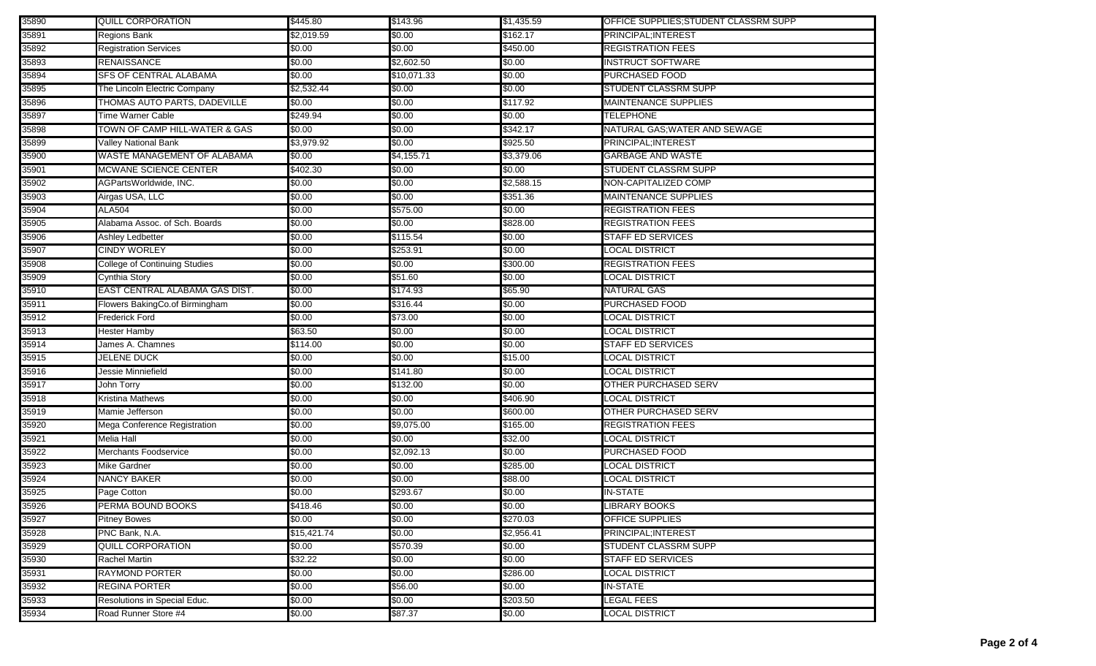| 35890 | QUILL CORPORATION              | \$445.80    | \$143.96    | \$1,435.59 | OFFICE SUPPLIES: STUDENT CLASSRM SUPP |
|-------|--------------------------------|-------------|-------------|------------|---------------------------------------|
| 35891 | Regions Bank                   | \$2,019.59  | \$0.00      | \$162.17   | PRINCIPAL; INTEREST                   |
| 35892 | <b>Registration Services</b>   | \$0.00      | \$0.00      | \$450.00   | <b>REGISTRATION FEES</b>              |
| 35893 | RENAISSANCE                    | \$0.00      | \$2,602.50  | \$0.00     | <b>INSTRUCT SOFTWARE</b>              |
| 35894 | <b>SFS OF CENTRAL ALABAMA</b>  | \$0.00      | \$10,071.33 | \$0.00     | <b>PURCHASED FOOD</b>                 |
| 35895 | The Lincoln Electric Company   | \$2,532.44  | \$0.00      | \$0.00     | STUDENT CLASSRM SUPP                  |
| 35896 | THOMAS AUTO PARTS, DADEVILLE   | \$0.00      | \$0.00      | \$117.92   | <b>MAINTENANCE SUPPLIES</b>           |
| 35897 | <b>Time Warner Cable</b>       | \$249.94    | \$0.00      | \$0.00     | <b>TELEPHONE</b>                      |
| 35898 | TOWN OF CAMP HILL-WATER & GAS  | \$0.00      | \$0.00      | \$342.17   | NATURAL GAS; WATER AND SEWAGE         |
| 35899 | Valley National Bank           | \$3,979.92  | \$0.00      | \$925.50   | PRINCIPAL; INTEREST                   |
| 35900 | WASTE MANAGEMENT OF ALABAMA    | \$0.00      | \$4,155.71  | \$3,379.06 | <b>GARBAGE AND WASTE</b>              |
| 35901 | MCWANE SCIENCE CENTER          | \$402.30    | \$0.00      | \$0.00     | <b>STUDENT CLASSRM SUPP</b>           |
| 35902 | AGPartsWorldwide, INC.         | \$0.00      | \$0.00      | \$2,588.15 | NON-CAPITALIZED COMP                  |
| 35903 | Airgas USA, LLC                | \$0.00      | \$0.00      | \$351.36   | <b>MAINTENANCE SUPPLIES</b>           |
| 35904 | <b>ALA504</b>                  | \$0.00      | \$575.00    | \$0.00     | <b>REGISTRATION FEES</b>              |
| 35905 | Alabama Assoc. of Sch. Boards  | \$0.00      | \$0.00      | \$828.00   | <b>REGISTRATION FEES</b>              |
| 35906 | Ashley Ledbetter               | \$0.00      | \$115.54    | \$0.00     | <b>STAFF ED SERVICES</b>              |
| 35907 | CINDY WORLEY                   | \$0.00      | \$253.91    | \$0.00     | <b>LOCAL DISTRICT</b>                 |
| 35908 | College of Continuing Studies  | \$0.00      | \$0.00      | \$300.00   | <b>REGISTRATION FEES</b>              |
| 35909 | Cynthia Story                  | \$0.00      | \$51.60     | \$0.00     | LOCAL DISTRICT                        |
| 35910 | EAST CENTRAL ALABAMA GAS DIST. | \$0.00      | \$174.93    | \$65.90    | <b>NATURAL GAS</b>                    |
| 35911 | Flowers BakingCo.of Birmingham | \$0.00      | \$316.44    | \$0.00     | PURCHASED FOOD                        |
| 35912 | Frederick Ford                 | \$0.00      | \$73.00     | \$0.00     | <b>LOCAL DISTRICT</b>                 |
| 35913 | Hester Hamby                   | \$63.50     | \$0.00      | \$0.00     | <b>LOCAL DISTRICT</b>                 |
| 35914 | James A. Chamnes               | \$114.00    | \$0.00      | \$0.00     | <b>STAFF ED SERVICES</b>              |
| 35915 | <b>JELENE DUCK</b>             | \$0.00      | \$0.00      | \$15.00    | <b>LOCAL DISTRICT</b>                 |
| 35916 | Jessie Minniefield             | \$0.00      | \$141.80    | \$0.00     | <b>LOCAL DISTRICT</b>                 |
| 35917 | John Torry                     | \$0.00      | \$132.00    | \$0.00     | <b>OTHER PURCHASED SERV</b>           |
| 35918 | Kristina Mathews               | \$0.00      | \$0.00      | \$406.90   | <b>LOCAL DISTRICT</b>                 |
| 35919 | Mamie Jefferson                | \$0.00      | \$0.00      | \$600.00   | OTHER PURCHASED SERV                  |
| 35920 | Mega Conference Registration   | \$0.00      | \$9,075.00  | \$165.00   | <b>REGISTRATION FEES</b>              |
| 35921 | Melia Hall                     | \$0.00      | \$0.00      | \$32.00    | <b>LOCAL DISTRICT</b>                 |
| 35922 | Merchants Foodservice          | \$0.00      | \$2,092.13  | \$0.00     | <b>PURCHASED FOOD</b>                 |
| 35923 | Mike Gardner                   | \$0.00      | \$0.00      | \$285.00   | LOCAL DISTRICT                        |
| 35924 | <b>NANCY BAKER</b>             | \$0.00      | \$0.00      | \$88.00    | <b>LOCAL DISTRICT</b>                 |
| 35925 | Page Cotton                    | \$0.00      | \$293.67    | \$0.00     | <b>IN-STATE</b>                       |
| 35926 | PERMA BOUND BOOKS              | \$418.46    | \$0.00      | \$0.00     | LIBRARY BOOKS                         |
| 35927 | <b>Pitney Bowes</b>            | \$0.00      | \$0.00      | \$270.03   | OFFICE SUPPLIES                       |
| 35928 | PNC Bank, N.A.                 | \$15,421.74 | \$0.00      | \$2,956.41 | PRINCIPAL: INTEREST                   |
| 35929 | <b>QUILL CORPORATION</b>       | \$0.00      | \$570.39    | \$0.00     | <b>STUDENT CLASSRM SUPP</b>           |
| 35930 | Rachel Martin                  | \$32.22     | \$0.00      | \$0.00     | <b>STAFF ED SERVICES</b>              |
| 35931 | RAYMOND PORTER                 | \$0.00      | \$0.00      | \$286.00   | <b>LOCAL DISTRICT</b>                 |
| 35932 | <b>REGINA PORTER</b>           | \$0.00      | \$56.00     | \$0.00     | <b>IN-STATE</b>                       |
| 35933 | Resolutions in Special Educ.   | \$0.00      | \$0.00      | \$203.50   | <b>LEGAL FEES</b>                     |
| 35934 | Road Runner Store #4           | \$0.00      | \$87.37     | \$0.00     | <b>LOCAL DISTRICT</b>                 |
|       |                                |             |             |            |                                       |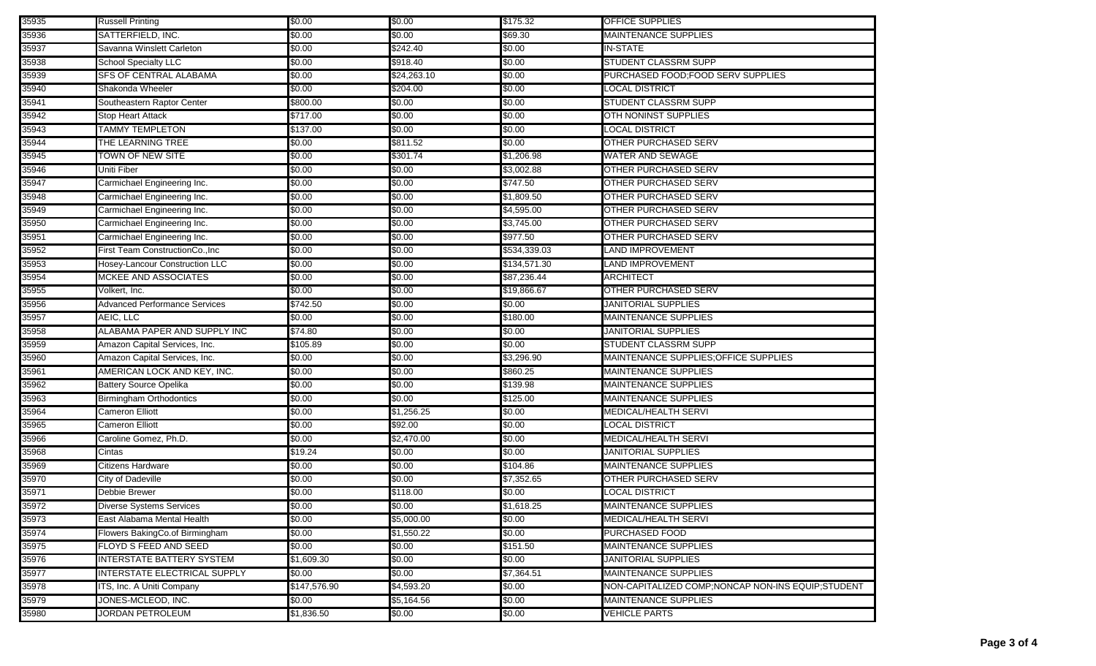| 35935 | <b>Russell Printing</b>              | \$0.00       | \$0.00      | \$175.32     | OFFICE SUPPLIES                                   |
|-------|--------------------------------------|--------------|-------------|--------------|---------------------------------------------------|
| 35936 | SATTERFIELD, INC.                    | \$0.00       | \$0.00      | \$69.30      | <b>MAINTENANCE SUPPLIES</b>                       |
| 35937 | Savanna Winslett Carleton            | \$0.00       | \$242.40    | \$0.00       | <b>IN-STATE</b>                                   |
| 35938 | <b>School Specialty LLC</b>          | \$0.00       | \$918.40    | \$0.00       | <b>STUDENT CLASSRM SUPP</b>                       |
| 35939 | <b>SFS OF CENTRAL ALABAMA</b>        | \$0.00       | \$24,263.10 | \$0.00       | PURCHASED FOOD; FOOD SERV SUPPLIES                |
| 35940 | Shakonda Wheeler                     | \$0.00       | \$204.00    | \$0.00       | <b>LOCAL DISTRICT</b>                             |
| 35941 | Southeastern Raptor Center           | \$800.00     | \$0.00      | \$0.00       | STUDENT CLASSRM SUPP                              |
| 35942 | <b>Stop Heart Attack</b>             | \$717.00     | \$0.00      | \$0.00       | OTH NONINST SUPPLIES                              |
| 35943 | <b>TAMMY TEMPLETON</b>               | \$137.00     | \$0.00      | \$0.00       | <b>LOCAL DISTRICT</b>                             |
| 35944 | THE LEARNING TREE                    | \$0.00       | \$811.52    | \$0.00       | <b>OTHER PURCHASED SERV</b>                       |
| 35945 | <b>TOWN OF NEW SITE</b>              | \$0.00       | \$301.74    | \$1,206.98   | <b>WATER AND SEWAGE</b>                           |
| 35946 | Uniti Fiber                          | \$0.00       | \$0.00      | \$3,002.88   | OTHER PURCHASED SERV                              |
| 35947 | Carmichael Engineering Inc.          | \$0.00       | \$0.00      | \$747.50     | OTHER PURCHASED SERV                              |
| 35948 | Carmichael Engineering Inc.          | \$0.00       | \$0.00      | \$1,809.50   | OTHER PURCHASED SERV                              |
| 35949 | Carmichael Engineering Inc.          | \$0.00       | \$0.00      | \$4,595.00   | OTHER PURCHASED SERV                              |
| 35950 | Carmichael Engineering Inc.          | \$0.00       | \$0.00      | \$3,745.00   | OTHER PURCHASED SERV                              |
| 35951 | Carmichael Engineering Inc.          | \$0.00       | \$0.00      | \$977.50     | OTHER PURCHASED SERV                              |
| 35952 | First Team ConstructionCo., Inc      | \$0.00       | \$0.00      | \$534,339.03 | LAND IMPROVEMENT                                  |
| 35953 | Hosey-Lancour Construction LLC       | \$0.00       | \$0.00      | \$134,571.30 | LAND IMPROVEMENT                                  |
| 35954 | <b>MCKEE AND ASSOCIATES</b>          | \$0.00       | \$0.00      | \$87,236.44  | <b>ARCHITECT</b>                                  |
| 35955 | Volkert, Inc.                        | \$0.00       | \$0.00      | \$19,866.67  | OTHER PURCHASED SERV                              |
| 35956 | <b>Advanced Performance Services</b> | \$742.50     | \$0.00      | \$0.00       | <b>JANITORIAL SUPPLIES</b>                        |
| 35957 | AEIC, LLC                            | \$0.00       | \$0.00      | \$180.00     | <b>MAINTENANCE SUPPLIES</b>                       |
| 35958 | ALABAMA PAPER AND SUPPLY INC         | \$74.80      | \$0.00      | \$0.00       | <b>JANITORIAL SUPPLIES</b>                        |
| 35959 | Amazon Capital Services, Inc.        | \$105.89     | \$0.00      | \$0.00       | <b>STUDENT CLASSRM SUPP</b>                       |
| 35960 | Amazon Capital Services, Inc.        | \$0.00       | \$0.00      | \$3,296.90   | MAINTENANCE SUPPLIES; OFFICE SUPPLIES             |
| 35961 | AMERICAN LOCK AND KEY, INC.          | \$0.00       | \$0.00      | \$860.25     | <b>MAINTENANCE SUPPLIES</b>                       |
| 35962 | <b>Battery Source Opelika</b>        | \$0.00       | \$0.00      | \$139.98     | <b>MAINTENANCE SUPPLIES</b>                       |
| 35963 | <b>Birmingham Orthodontics</b>       | \$0.00       | \$0.00      | \$125.00     | <b>MAINTENANCE SUPPLIES</b>                       |
| 35964 | Cameron Elliott                      | \$0.00       | \$1,256.25  | \$0.00       | MEDICAL/HEALTH SERVI                              |
| 35965 | Cameron Elliott                      | \$0.00       | \$92.00     | \$0.00       | LOCAL DISTRICT                                    |
| 35966 | Caroline Gomez, Ph.D.                | \$0.00       | \$2,470.00  | \$0.00       | MEDICAL/HEALTH SERVI                              |
| 35968 | Cintas                               | \$19.24      | \$0.00      | \$0.00       | <b>JANITORIAL SUPPLIES</b>                        |
| 35969 | Citizens Hardware                    | \$0.00       | \$0.00      | \$104.86     | <b>MAINTENANCE SUPPLIES</b>                       |
| 35970 | City of Dadeville                    | \$0.00       | \$0.00      | \$7,352.65   | <b>OTHER PURCHASED SERV</b>                       |
| 35971 | Debbie Brewer                        | \$0.00       | \$118.00    | \$0.00       | <b>LOCAL DISTRICT</b>                             |
| 35972 | <b>Diverse Systems Services</b>      | \$0.00       | \$0.00      | \$1,618.25   | <b>MAINTENANCE SUPPLIES</b>                       |
| 35973 | East Alabama Mental Health           | \$0.00       | \$5,000.00  | \$0.00       | MEDICAL/HEALTH SERVI                              |
| 35974 | Flowers BakingCo.of Birmingham       | \$0.00       | \$1,550.22  | \$0.00       | <b>PURCHASED FOOD</b>                             |
| 35975 | FLOYD S FEED AND SEED                | \$0.00       | \$0.00      | \$151.50     | <b>MAINTENANCE SUPPLIES</b>                       |
| 35976 | <b>INTERSTATE BATTERY SYSTEM</b>     | \$1,609.30   | \$0.00      | \$0.00       | <b>JANITORIAL SUPPLIES</b>                        |
| 35977 | INTERSTATE ELECTRICAL SUPPLY         | \$0.00       | \$0.00      | \$7,364.51   | <b>MAINTENANCE SUPPLIES</b>                       |
| 35978 | ITS, Inc. A Uniti Company            | \$147,576.90 | \$4,593.20  | \$0.00       | NON-CAPITALIZED COMP;NONCAP NON-INS EQUIP;STUDENT |
| 35979 | JONES-MCLEOD, INC.                   | \$0.00       | \$5,164.56  | \$0.00       | <b>MAINTENANCE SUPPLIES</b>                       |
| 35980 | <b>JORDAN PETROLEUM</b>              | \$1,836.50   | \$0.00      | \$0.00       | <b>VEHICLE PARTS</b>                              |